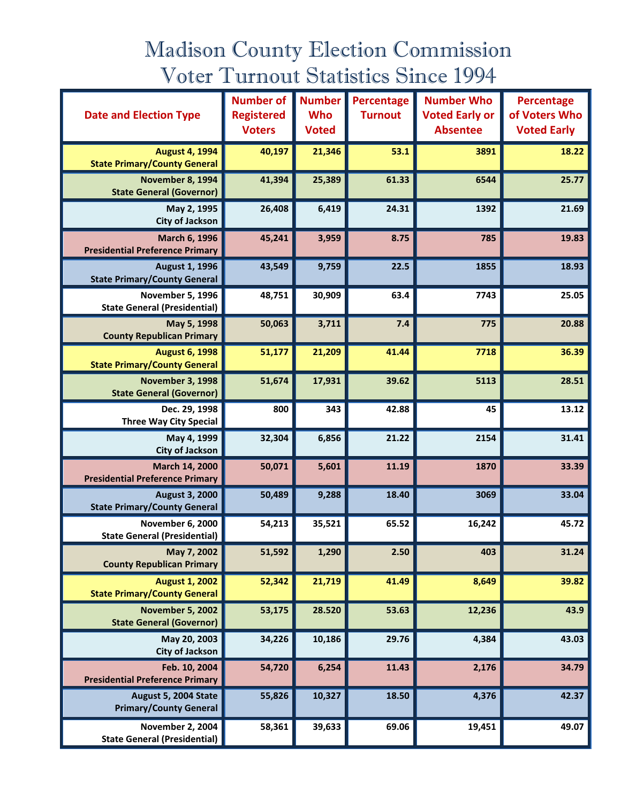## Madison County Election Commission Voter Turnout Statistics Since 1994

|                                                                | <b>Number of</b>  | <b>Number</b> | Percentage     | <b>Number Who</b>     | Percentage         |
|----------------------------------------------------------------|-------------------|---------------|----------------|-----------------------|--------------------|
| <b>Date and Election Type</b>                                  | <b>Registered</b> | <b>Who</b>    | <b>Turnout</b> | <b>Voted Early or</b> | of Voters Who      |
|                                                                | <b>Voters</b>     | <b>Voted</b>  |                | <b>Absentee</b>       | <b>Voted Early</b> |
| <b>August 4, 1994</b><br><b>State Primary/County General</b>   | 40,197            | 21,346        | 53.1           | 3891                  | 18.22              |
| November 8, 1994<br><b>State General (Governor)</b>            | 41,394            | 25,389        | 61.33          | 6544                  | 25.77              |
| May 2, 1995<br><b>City of Jackson</b>                          | 26,408            | 6,419         | 24.31          | 1392                  | 21.69              |
| March 6, 1996<br><b>Presidential Preference Primary</b>        | 45,241            | 3,959         | 8.75           | 785                   | 19.83              |
| <b>August 1, 1996</b><br><b>State Primary/County General</b>   | 43,549            | 9,759         | 22.5           | 1855                  | 18.93              |
| November 5, 1996<br><b>State General (Presidential)</b>        | 48,751            | 30,909        | 63.4           | 7743                  | 25.05              |
| May 5, 1998<br><b>County Republican Primary</b>                | 50,063            | 3,711         | 7.4            | 775                   | 20.88              |
| <b>August 6, 1998</b><br><b>State Primary/County General</b>   | 51,177            | 21,209        | 41.44          | 7718                  | 36.39              |
| <b>November 3, 1998</b><br><b>State General (Governor)</b>     | 51,674            | 17,931        | 39.62          | 5113                  | 28.51              |
| Dec. 29, 1998<br><b>Three Way City Special</b>                 | 800               | 343           | 42.88          | 45                    | 13.12              |
| May 4, 1999<br><b>City of Jackson</b>                          | 32,304            | 6,856         | 21.22          | 2154                  | 31.41              |
| March 14, 2000<br><b>Presidential Preference Primary</b>       | 50,071            | 5,601         | 11.19          | 1870                  | 33.39              |
| <b>August 3, 2000</b><br><b>State Primary/County General</b>   | 50,489            | 9,288         | 18.40          | 3069                  | 33.04              |
| <b>November 6, 2000</b><br><b>State General (Presidential)</b> | 54,213            | 35,521        | 65.52          | 16,242                | 45.72              |
| May 7, 2002<br><b>County Republican Primary</b>                | 51,592            | 1,290         | 2.50           | 403                   | 31.24              |
| <b>August 1, 2002</b><br><b>State Primary/County General</b>   | 52,342            | 21,719        | 41.49          | 8,649                 | 39.82              |
| <b>November 5, 2002</b><br><b>State General (Governor)</b>     | 53,175            | 28.520        | 53.63          | 12,236                | 43.9               |
| May 20, 2003<br><b>City of Jackson</b>                         | 34,226            | 10,186        | 29.76          | 4,384                 | 43.03              |
| Feb. 10, 2004<br><b>Presidential Preference Primary</b>        | 54,720            | 6,254         | 11.43          | 2,176                 | 34.79              |
| August 5, 2004 State<br><b>Primary/County General</b>          | 55,826            | 10,327        | 18.50          | 4,376                 | 42.37              |
| <b>November 2, 2004</b><br><b>State General (Presidential)</b> | 58,361            | 39,633        | 69.06          | 19,451                | 49.07              |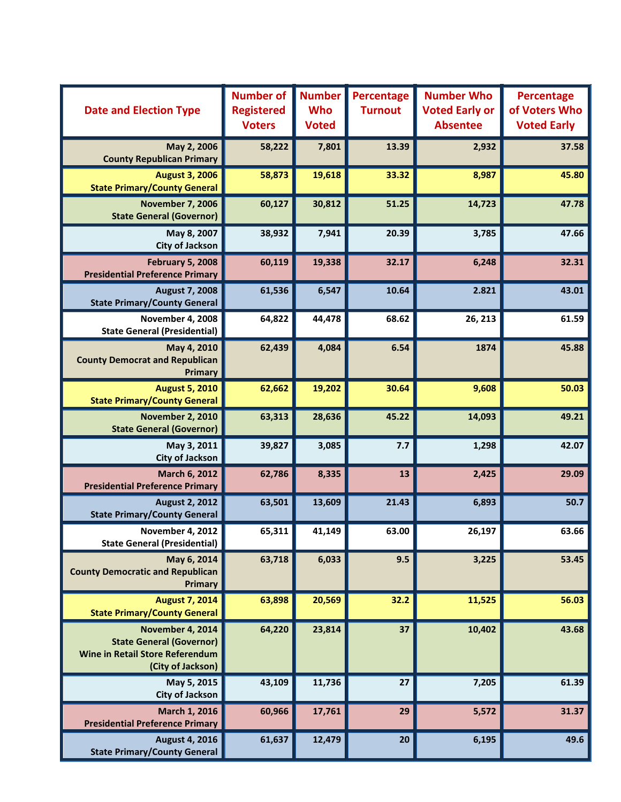| <b>Date and Election Type</b>                                                                                      | <b>Number of</b><br><b>Registered</b><br><b>Voters</b> | <b>Number</b><br><b>Who</b><br><b>Voted</b> | Percentage<br><b>Turnout</b> | <b>Number Who</b><br><b>Voted Early or</b><br><b>Absentee</b> | Percentage<br>of Voters Who<br><b>Voted Early</b> |
|--------------------------------------------------------------------------------------------------------------------|--------------------------------------------------------|---------------------------------------------|------------------------------|---------------------------------------------------------------|---------------------------------------------------|
| May 2, 2006<br><b>County Republican Primary</b>                                                                    | 58,222                                                 | 7,801                                       | 13.39                        | 2,932                                                         | 37.58                                             |
| <b>August 3, 2006</b><br><b>State Primary/County General</b>                                                       | 58,873                                                 | 19,618                                      | 33.32                        | 8,987                                                         | 45.80                                             |
| <b>November 7, 2006</b><br><b>State General (Governor)</b>                                                         | 60,127                                                 | 30,812                                      | 51.25                        | 14,723                                                        | 47.78                                             |
| May 8, 2007<br><b>City of Jackson</b>                                                                              | 38,932                                                 | 7,941                                       | 20.39                        | 3,785                                                         | 47.66                                             |
| <b>February 5, 2008</b><br><b>Presidential Preference Primary</b>                                                  | 60,119                                                 | 19,338                                      | 32.17                        | 6,248                                                         | 32.31                                             |
| <b>August 7, 2008</b><br><b>State Primary/County General</b>                                                       | 61,536                                                 | 6,547                                       | 10.64                        | 2.821                                                         | 43.01                                             |
| <b>November 4, 2008</b><br><b>State General (Presidential)</b>                                                     | 64,822                                                 | 44,478                                      | 68.62                        | 26, 213                                                       | 61.59                                             |
| May 4, 2010<br><b>County Democrat and Republican</b><br><b>Primary</b>                                             | 62,439                                                 | 4,084                                       | 6.54                         | 1874                                                          | 45.88                                             |
| <b>August 5, 2010</b><br><b>State Primary/County General</b>                                                       | 62,662                                                 | 19,202                                      | 30.64                        | 9,608                                                         | 50.03                                             |
| <b>November 2, 2010</b><br><b>State General (Governor)</b>                                                         | 63,313                                                 | 28,636                                      | 45.22                        | 14,093                                                        | 49.21                                             |
| May 3, 2011<br><b>City of Jackson</b>                                                                              | 39,827                                                 | 3,085                                       | 7.7                          | 1,298                                                         | 42.07                                             |
| March 6, 2012<br><b>Presidential Preference Primary</b>                                                            | 62,786                                                 | 8,335                                       | 13                           | 2,425                                                         | 29.09                                             |
| <b>August 2, 2012</b><br><b>State Primary/County General</b>                                                       | 63,501                                                 | 13,609                                      | 21.43                        | 6,893                                                         | 50.7                                              |
| November 4, 2012<br><b>State General (Presidential)</b>                                                            | 65,311                                                 | 41,149                                      | 63.00                        | 26,197                                                        | 63.66                                             |
| May 6, 2014<br><b>County Democratic and Republican</b><br><b>Primary</b>                                           | 63,718                                                 | 6,033                                       | 9.5                          | 3,225                                                         | 53.45                                             |
| <b>August 7, 2014</b><br><b>State Primary/County General</b>                                                       | 63,898                                                 | 20,569                                      | 32.2                         | 11,525                                                        | 56.03                                             |
| November 4, 2014<br><b>State General (Governor)</b><br><b>Wine in Retail Store Referendum</b><br>(City of Jackson) | 64,220                                                 | 23,814                                      | 37                           | 10,402                                                        | 43.68                                             |
| May 5, 2015<br><b>City of Jackson</b>                                                                              | 43,109                                                 | 11,736                                      | 27                           | 7,205                                                         | 61.39                                             |
| March 1, 2016<br><b>Presidential Preference Primary</b>                                                            | 60,966                                                 | 17,761                                      | 29                           | 5,572                                                         | 31.37                                             |
| <b>August 4, 2016</b><br><b>State Primary/County General</b>                                                       | 61,637                                                 | 12,479                                      | 20                           | 6,195                                                         | 49.6                                              |